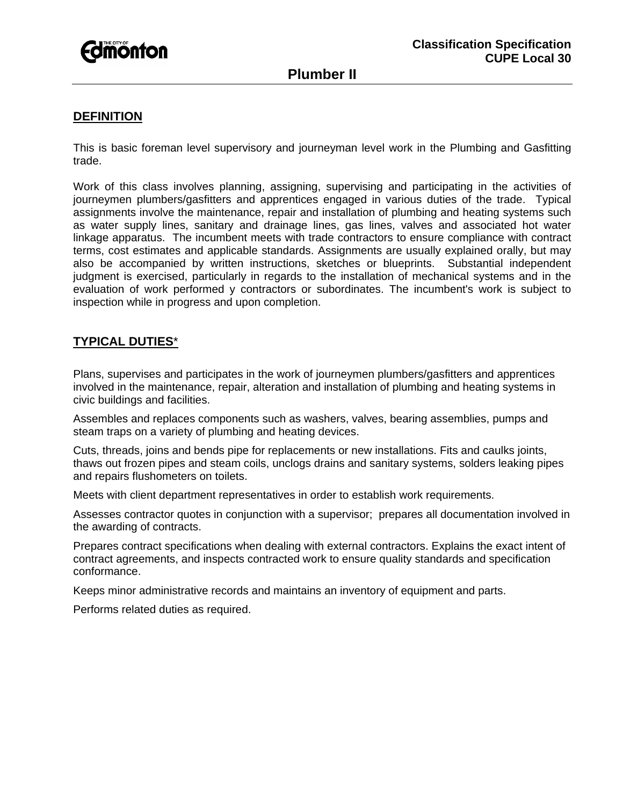

# **Plumber II**

#### **DEFINITION**

This is basic foreman level supervisory and journeyman level work in the Plumbing and Gasfitting trade.

Work of this class involves planning, assigning, supervising and participating in the activities of journeymen plumbers/gasfitters and apprentices engaged in various duties of the trade. Typical assignments involve the maintenance, repair and installation of plumbing and heating systems such as water supply lines, sanitary and drainage lines, gas lines, valves and associated hot water linkage apparatus. The incumbent meets with trade contractors to ensure compliance with contract terms, cost estimates and applicable standards. Assignments are usually explained orally, but may also be accompanied by written instructions, sketches or blueprints. Substantial independent judgment is exercised, particularly in regards to the installation of mechanical systems and in the evaluation of work performed y contractors or subordinates. The incumbent's work is subject to inspection while in progress and upon completion.

### **TYPICAL DUTIES**\*

Plans, supervises and participates in the work of journeymen plumbers/gasfitters and apprentices involved in the maintenance, repair, alteration and installation of plumbing and heating systems in civic buildings and facilities.

Assembles and replaces components such as washers, valves, bearing assemblies, pumps and steam traps on a variety of plumbing and heating devices.

Cuts, threads, joins and bends pipe for replacements or new installations. Fits and caulks joints, thaws out frozen pipes and steam coils, unclogs drains and sanitary systems, solders leaking pipes and repairs flushometers on toilets.

Meets with client department representatives in order to establish work requirements.

Assesses contractor quotes in conjunction with a supervisor; prepares all documentation involved in the awarding of contracts.

Prepares contract specifications when dealing with external contractors. Explains the exact intent of contract agreements, and inspects contracted work to ensure quality standards and specification conformance.

Keeps minor administrative records and maintains an inventory of equipment and parts.

Performs related duties as required.